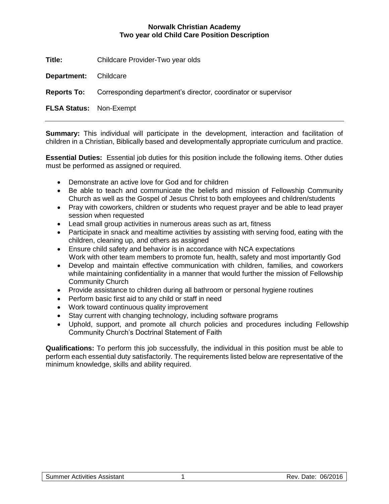## **Norwalk Christian Academy Two year old Child Care Position Description**

**Title:** Childcare Provider-Two year olds

**Department:** Childcare

**Reports To:** Corresponding department's director, coordinator or supervisor

**FLSA Status:** Non-Exempt

**Summary:** This individual will participate in the development, interaction and facilitation of children in a Christian, Biblically based and developmentally appropriate curriculum and practice.

**Essential Duties:** Essential job duties for this position include the following items. Other duties must be performed as assigned or required.

- Demonstrate an active love for God and for children
- Be able to teach and communicate the beliefs and mission of Fellowship Community Church as well as the Gospel of Jesus Christ to both employees and children/students
- Pray with coworkers, children or students who request prayer and be able to lead prayer session when requested
- Lead small group activities in numerous areas such as art, fitness
- Participate in snack and mealtime activities by assisting with serving food, eating with the children, cleaning up, and others as assigned
- Ensure child safety and behavior is in accordance with NCA expectations Work with other team members to promote fun, health, safety and most importantly God
- Develop and maintain effective communication with children, families, and coworkers while maintaining confidentiality in a manner that would further the mission of Fellowship Community Church
- Provide assistance to children during all bathroom or personal hygiene routines
- Perform basic first aid to any child or staff in need
- Work toward continuous quality improvement
- Stay current with changing technology, including software programs
- Uphold, support, and promote all church policies and procedures including Fellowship Community Church's Doctrinal Statement of Faith

**Qualifications:** To perform this job successfully, the individual in this position must be able to perform each essential duty satisfactorily. The requirements listed below are representative of the minimum knowledge, skills and ability required.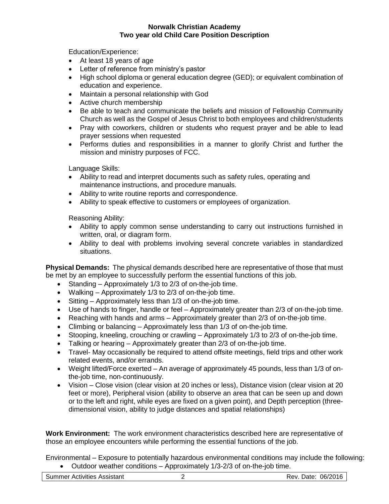## **Norwalk Christian Academy Two year old Child Care Position Description**

Education/Experience:

- At least 18 years of age
- Letter of reference from ministry's pastor
- High school diploma or general education degree (GED); or equivalent combination of education and experience.
- Maintain a personal relationship with God
- Active church membership
- Be able to teach and communicate the beliefs and mission of Fellowship Community Church as well as the Gospel of Jesus Christ to both employees and children/students
- Pray with coworkers, children or students who request prayer and be able to lead prayer sessions when requested
- Performs duties and responsibilities in a manner to glorify Christ and further the mission and ministry purposes of FCC.

Language Skills:

- Ability to read and interpret documents such as safety rules, operating and maintenance instructions, and procedure manuals.
- Ability to write routine reports and correspondence.
- Ability to speak effective to customers or employees of organization.

Reasoning Ability:

- Ability to apply common sense understanding to carry out instructions furnished in written, oral, or diagram form.
- Ability to deal with problems involving several concrete variables in standardized situations.

**Physical Demands:** The physical demands described here are representative of those that must be met by an employee to successfully perform the essential functions of this job.

- Standing Approximately 1/3 to 2/3 of on-the-job time.
- Walking Approximately 1/3 to 2/3 of on-the-job time.
- Sitting Approximately less than 1/3 of on-the-job time.
- Use of hands to finger, handle or feel Approximately greater than 2/3 of on-the-job time.
- Reaching with hands and arms Approximately greater than 2/3 of on-the-job time.
- Climbing or balancing Approximately less than 1/3 of on-the-job time.
- Stooping, kneeling, crouching or crawling Approximately 1/3 to 2/3 of on-the-job time.
- Talking or hearing Approximately greater than 2/3 of on-the-job time.
- Travel- May occasionally be required to attend offsite meetings, field trips and other work related events, and/or errands.
- Weight lifted/Force exerted An average of approximately 45 pounds, less than 1/3 of onthe-job time, non-continuously.
- Vision Close vision (clear vision at 20 inches or less), Distance vision (clear vision at 20 feet or more), Peripheral vision (ability to observe an area that can be seen up and down or to the left and right, while eyes are fixed on a given point), and Depth perception (threedimensional vision, ability to judge distances and spatial relationships)

**Work Environment:** The work environment characteristics described here are representative of those an employee encounters while performing the essential functions of the job.

Environmental – Exposure to potentially hazardous environmental conditions may include the following: • Outdoor weather conditions – Approximately 1/3-2/3 of on-the-job time.

Summer Activities Assistant 1992 12 Communication of the Rev. Date: 06/2016